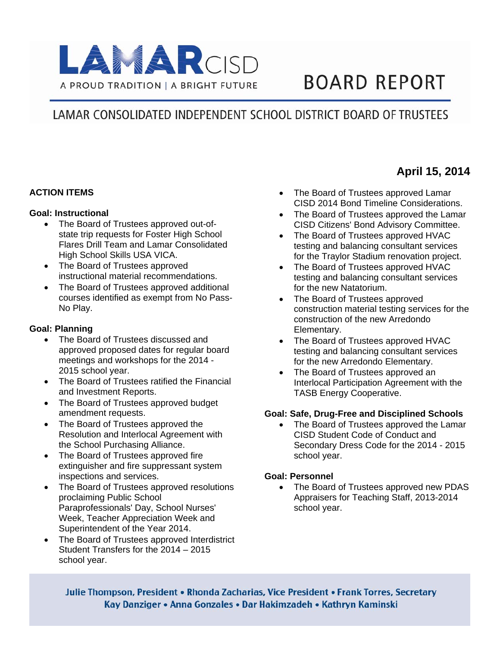

# **BOARD REPORT**

## LAMAR CONSOLIDATED INDEPENDENT SCHOOL DISTRICT BOARD OF TRUSTEES

#### **ACTION ITEMS**

#### **Goal: Instructional**

- The Board of Trustees approved out-ofstate trip requests for Foster High School Flares Drill Team and Lamar Consolidated High School Skills USA VICA.
- The Board of Trustees approved instructional material recommendations.
- The Board of Trustees approved additional courses identified as exempt from No Pass-No Play.

#### **Goal: Planning**

- The Board of Trustees discussed and approved proposed dates for regular board meetings and workshops for the 2014 - 2015 school year.
- The Board of Trustees ratified the Financial and Investment Reports.
- The Board of Trustees approved budget amendment requests.
- The Board of Trustees approved the Resolution and Interlocal Agreement with the School Purchasing Alliance.
- The Board of Trustees approved fire extinguisher and fire suppressant system inspections and services.
- The Board of Trustees approved resolutions proclaiming Public School Paraprofessionals' Day, School Nurses' Week, Teacher Appreciation Week and Superintendent of the Year 2014.
- The Board of Trustees approved Interdistrict Student Transfers for the 2014 – 2015 school year.
- The Board of Trustees approved Lamar CISD 2014 Bond Timeline Considerations.
- The Board of Trustees approved the Lamar CISD Citizens' Bond Advisory Committee.
- The Board of Trustees approved HVAC testing and balancing consultant services for the Traylor Stadium renovation project.
- The Board of Trustees approved HVAC testing and balancing consultant services for the new Natatorium.
- The Board of Trustees approved construction material testing services for the construction of the new Arredondo Elementary.
- The Board of Trustees approved HVAC testing and balancing consultant services for the new Arredondo Elementary.
- The Board of Trustees approved an Interlocal Participation Agreement with the TASB Energy Cooperative.

#### **Goal: Safe, Drug-Free and Disciplined Schools**

 The Board of Trustees approved the Lamar CISD Student Code of Conduct and Secondary Dress Code for the 2014 - 2015 school year.

#### **Goal: Personnel**

• The Board of Trustees approved new PDAS Appraisers for Teaching Staff, 2013-2014 school year.

Julie Thompson, President • Rhonda Zacharias, Vice President • Frank Torres, Secretary Kay Danziger • Anna Gonzales • Dar Hakimzadeh • Kathryn Kaminski

### **April 15, 2014**